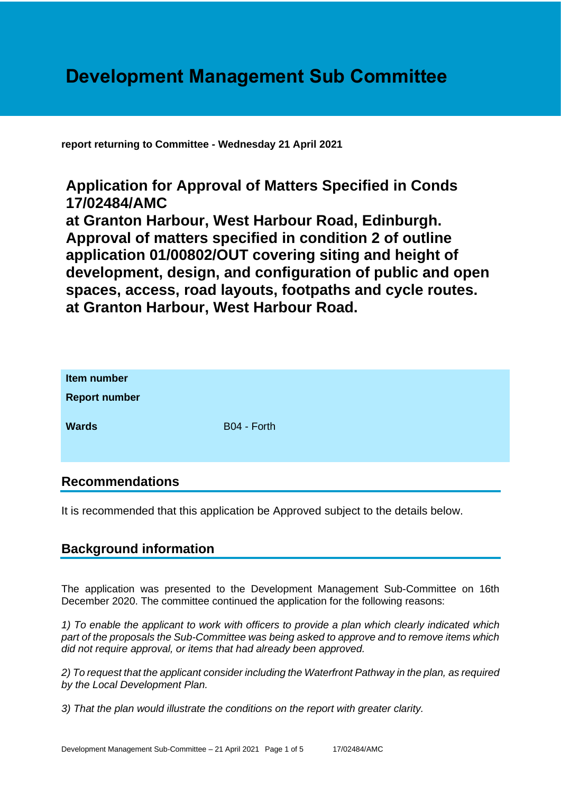# **Development Management Sub Committee**

**report returning to Committee - Wednesday 21 April 2021**

# **Application for Approval of Matters Specified in Conds 17/02484/AMC**

**at Granton Harbour, West Harbour Road, Edinburgh. Approval of matters specified in condition 2 of outline application 01/00802/OUT covering siting and height of development, design, and configuration of public and open spaces, access, road layouts, footpaths and cycle routes. at Granton Harbour, West Harbour Road.**

| Item number<br><b>Report number</b> |             |
|-------------------------------------|-------------|
| <b>Wards</b>                        | B04 - Forth |

# **Recommendations**

It is recommended that this application be Approved subject to the details below.

# **Background information**

The application was presented to the Development Management Sub-Committee on 16th December 2020. The committee continued the application for the following reasons:

*1) To enable the applicant to work with officers to provide a plan which clearly indicated which part of the proposals the Sub-Committee was being asked to approve and to remove items which did not require approval, or items that had already been approved.* 

*2) To request that the applicant consider including the Waterfront Pathway in the plan, as required by the Local Development Plan.* 

*3) That the plan would illustrate the conditions on the report with greater clarity.*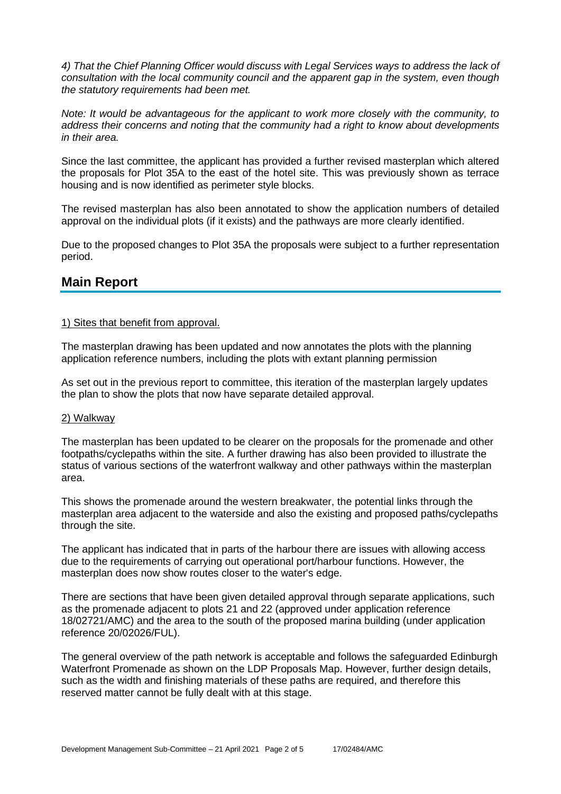*4) That the Chief Planning Officer would discuss with Legal Services ways to address the lack of consultation with the local community council and the apparent gap in the system, even though the statutory requirements had been met.* 

*Note: It would be advantageous for the applicant to work more closely with the community, to address their concerns and noting that the community had a right to know about developments in their area.*

Since the last committee, the applicant has provided a further revised masterplan which altered the proposals for Plot 35A to the east of the hotel site. This was previously shown as terrace housing and is now identified as perimeter style blocks.

The revised masterplan has also been annotated to show the application numbers of detailed approval on the individual plots (if it exists) and the pathways are more clearly identified.

Due to the proposed changes to Plot 35A the proposals were subject to a further representation period.

## **Main Report**

#### 1) Sites that benefit from approval.

The masterplan drawing has been updated and now annotates the plots with the planning application reference numbers, including the plots with extant planning permission

As set out in the previous report to committee, this iteration of the masterplan largely updates the plan to show the plots that now have separate detailed approval.

#### 2) Walkway

The masterplan has been updated to be clearer on the proposals for the promenade and other footpaths/cyclepaths within the site. A further drawing has also been provided to illustrate the status of various sections of the waterfront walkway and other pathways within the masterplan area.

This shows the promenade around the western breakwater, the potential links through the masterplan area adjacent to the waterside and also the existing and proposed paths/cyclepaths through the site.

The applicant has indicated that in parts of the harbour there are issues with allowing access due to the requirements of carrying out operational port/harbour functions. However, the masterplan does now show routes closer to the water's edge.

There are sections that have been given detailed approval through separate applications, such as the promenade adjacent to plots 21 and 22 (approved under application reference 18/02721/AMC) and the area to the south of the proposed marina building (under application reference 20/02026/FUL).

The general overview of the path network is acceptable and follows the safeguarded Edinburgh Waterfront Promenade as shown on the LDP Proposals Map. However, further design details, such as the width and finishing materials of these paths are required, and therefore this reserved matter cannot be fully dealt with at this stage.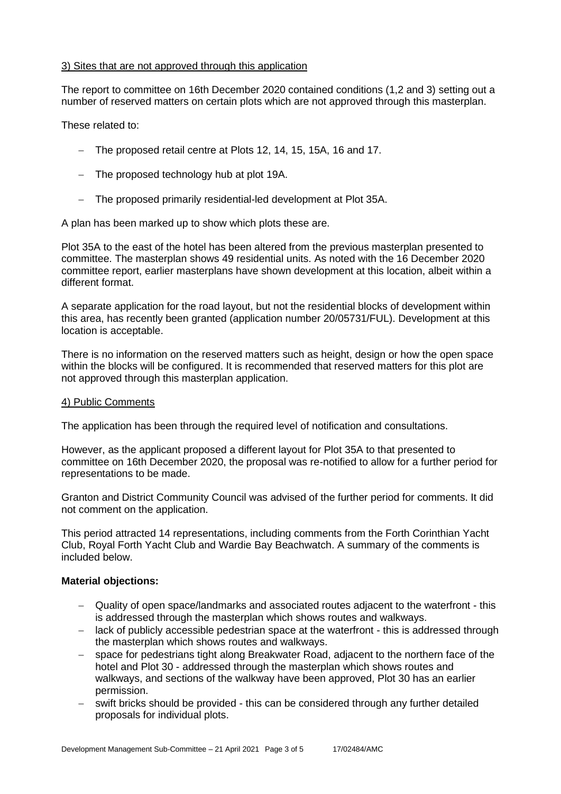#### 3) Sites that are not approved through this application

The report to committee on 16th December 2020 contained conditions (1,2 and 3) setting out a number of reserved matters on certain plots which are not approved through this masterplan.

These related to:

- − The proposed retail centre at Plots 12, 14, 15, 15A, 16 and 17.
- − The proposed technology hub at plot 19A.
- − The proposed primarily residential-led development at Plot 35A.

A plan has been marked up to show which plots these are.

Plot 35A to the east of the hotel has been altered from the previous masterplan presented to committee. The masterplan shows 49 residential units. As noted with the 16 December 2020 committee report, earlier masterplans have shown development at this location, albeit within a different format.

A separate application for the road layout, but not the residential blocks of development within this area, has recently been granted (application number 20/05731/FUL). Development at this location is acceptable.

There is no information on the reserved matters such as height, design or how the open space within the blocks will be configured. It is recommended that reserved matters for this plot are not approved through this masterplan application.

#### 4) Public Comments

The application has been through the required level of notification and consultations.

However, as the applicant proposed a different layout for Plot 35A to that presented to committee on 16th December 2020, the proposal was re-notified to allow for a further period for representations to be made.

Granton and District Community Council was advised of the further period for comments. It did not comment on the application.

This period attracted 14 representations, including comments from the Forth Corinthian Yacht Club, Royal Forth Yacht Club and Wardie Bay Beachwatch. A summary of the comments is included below.

#### **Material objections:**

- − Quality of open space/landmarks and associated routes adjacent to the waterfront this is addressed through the masterplan which shows routes and walkways.
- − lack of publicly accessible pedestrian space at the waterfront this is addressed through the masterplan which shows routes and walkways.
- − space for pedestrians tight along Breakwater Road, adjacent to the northern face of the hotel and Plot 30 - addressed through the masterplan which shows routes and walkways, and sections of the walkway have been approved, Plot 30 has an earlier permission.
- − swift bricks should be provided this can be considered through any further detailed proposals for individual plots.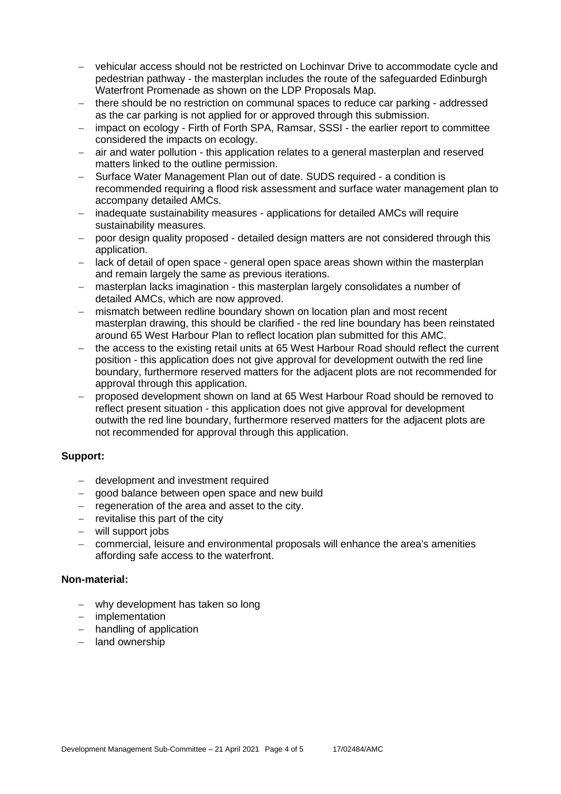- − vehicular access should not be restricted on Lochinvar Drive to accommodate cycle and pedestrian pathway - the masterplan includes the route of the safeguarded Edinburgh Waterfront Promenade as shown on the LDP Proposals Map.
- − there should be no restriction on communal spaces to reduce car parking addressed as the car parking is not applied for or approved through this submission.
- − impact on ecology Firth of Forth SPA, Ramsar, SSSI the earlier report to committee considered the impacts on ecology.
- − air and water pollution this application relates to a general masterplan and reserved matters linked to the outline permission.
- − Surface Water Management Plan out of date. SUDS required a condition is recommended requiring a flood risk assessment and surface water management plan to accompany detailed AMCs.
- − inadequate sustainability measures applications for detailed AMCs will require sustainability measures.
- − poor design quality proposed detailed design matters are not considered through this application.
- lack of detail of open space general open space areas shown within the masterplan and remain largely the same as previous iterations.
- − masterplan lacks imagination this masterplan largely consolidates a number of detailed AMCs, which are now approved.
- − mismatch between redline boundary shown on location plan and most recent masterplan drawing, this should be clarified - the red line boundary has been reinstated around 65 West Harbour Plan to reflect location plan submitted for this AMC.
- the access to the existing retail units at 65 West Harbour Road should reflect the current position - this application does not give approval for development outwith the red line boundary, furthermore reserved matters for the adjacent plots are not recommended for approval through this application.
- − proposed development shown on land at 65 West Harbour Road should be removed to reflect present situation - this application does not give approval for development outwith the red line boundary, furthermore reserved matters for the adjacent plots are not recommended for approval through this application.

#### **Support:**

- − development and investment required
- − good balance between open space and new build
- − regeneration of the area and asset to the city.
- − revitalise this part of the city
- − will support jobs
- − commercial, leisure and environmental proposals will enhance the area's amenities affording safe access to the waterfront.

#### **Non-material:**

- − why development has taken so long
- − implementation
- − handling of application
- − land ownership